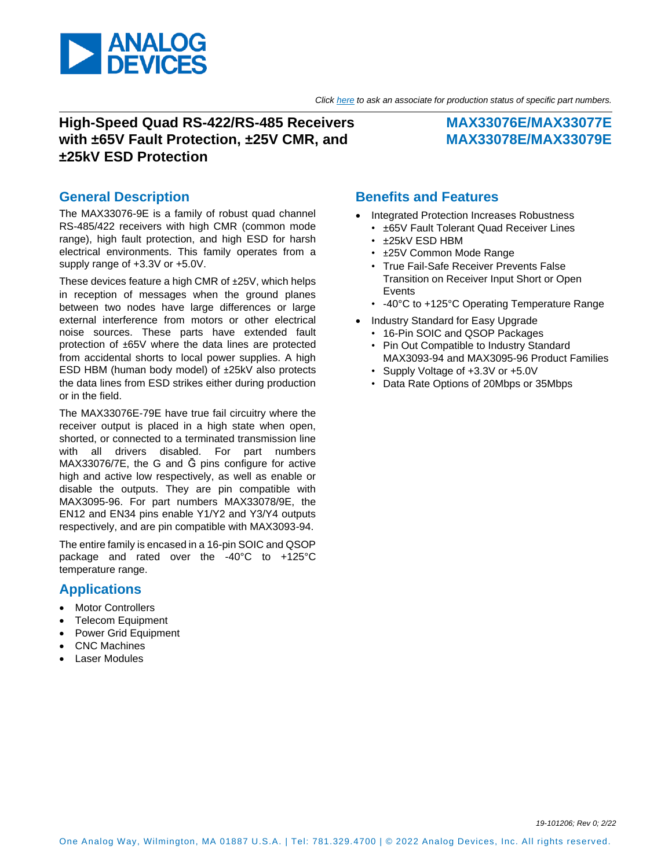

#### *Click [here](https://www.maximintegrated.com/en/storefront/storefront.html) to ask an associate for production status of specific part numbers.*

## **High-Speed Quad RS-422/RS-485 Receivers with ±65V Fault Protection, ±25V CMR, and ±25kV ESD Protection**

### **MAX33076E/MAX33077E MAX33078E/MAX33079E**

### **General Description**

The MAX33076-9E is a family of robust quad channel RS-485/422 receivers with high CMR (common mode range), high fault protection, and high ESD for harsh electrical environments. This family operates from a supply range of +3.3V or +5.0V.

These devices feature a high CMR of ±25V, which helps in reception of messages when the ground planes between two nodes have large differences or large external interference from motors or other electrical noise sources. These parts have extended fault protection of ±65V where the data lines are protected from accidental shorts to local power supplies. A high ESD HBM (human body model) of ±25kV also protects the data lines from ESD strikes either during production or in the field.

The MAX33076E-79E have true fail circuitry where the receiver output is placed in a high state when open, shorted, or connected to a terminated transmission line with all drivers disabled. For part numbers MAX33076/7E, the G and G pins configure for active high and active low respectively, as well as enable or disable the outputs. They are pin compatible with MAX3095-96. For part numbers MAX33078/9E, the EN12 and EN34 pins enable Y1/Y2 and Y3/Y4 outputs respectively, and are pin compatible with MAX3093-94.

The entire family is encased in a 16-pin SOIC and QSOP package and rated over the -40°C to +125°C temperature range.

#### **Applications**

- **Motor Controllers**
- **Telecom Equipment**
- Power Grid Equipment
- CNC Machines
- **Laser Modules**

#### **Benefits and Features**

- Integrated Protection Increases Robustness
	- ±65V Fault Tolerant Quad Receiver Lines
	- ±25kV ESD HBM
	- ±25V Common Mode Range
	- True Fail-Safe Receiver Prevents False Transition on Receiver Input Short or Open Events
	- -40°C to +125°C Operating Temperature Range
- Industry Standard for Easy Upgrade
	- 16-Pin SOIC and QSOP Packages
	- Pin Out Compatible to Industry Standard MAX3093-94 and MAX3095-96 Product Families
	- Supply Voltage of +3.3V or +5.0V
	- Data Rate Options of 20Mbps or 35Mbps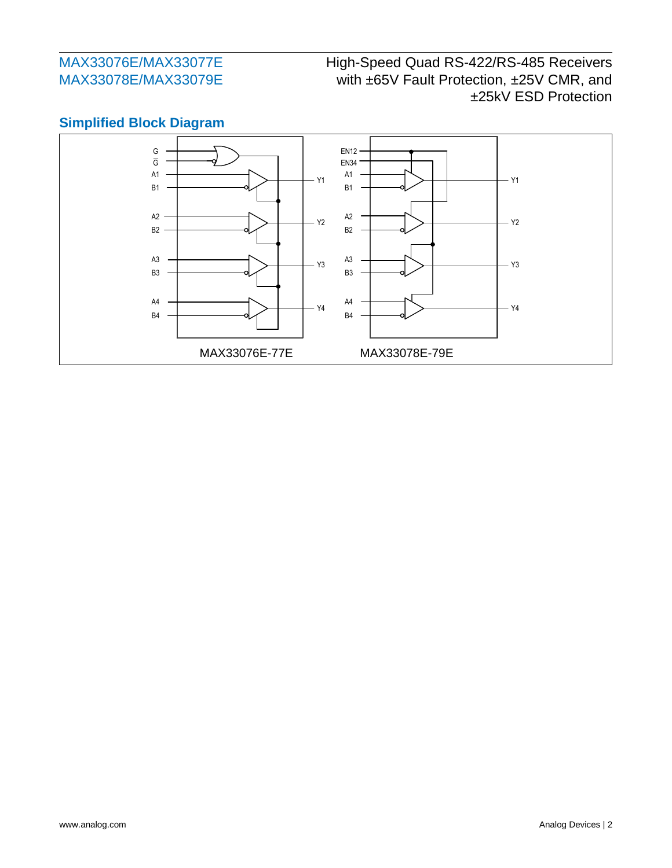# High-Speed Quad RS-422/RS-485 Receivers with ±65V Fault Protection, ±25V CMR, and ±25kV ESD Protection



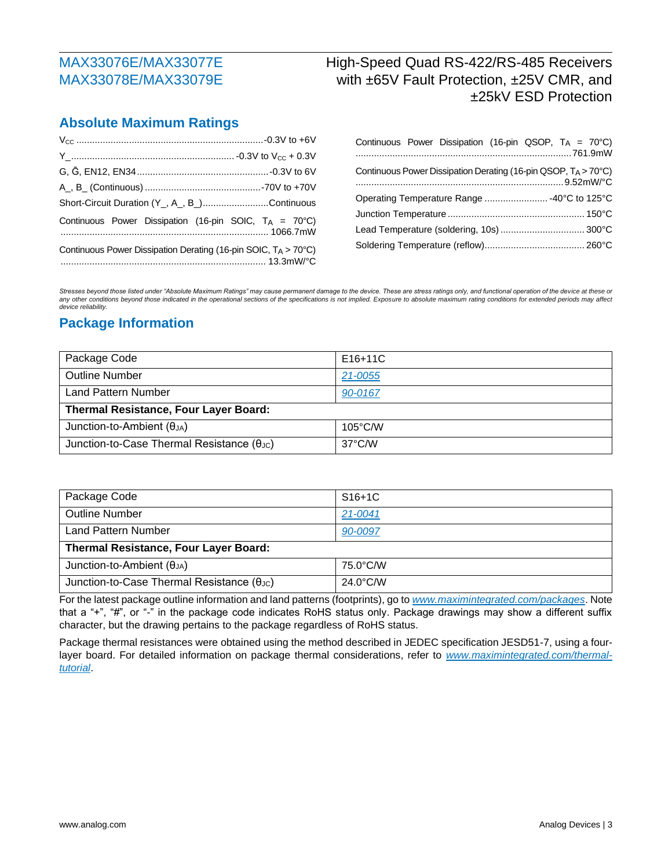## High-Speed Quad RS-422/RS-485 Receivers with ±65V Fault Protection, ±25V CMR, and ±25kV ESD Protection

#### **Absolute Maximum Ratings**

| Short-Circuit Duration (Y <sub>,,</sub> A <sub>,</sub> , B <sub>,</sub> )Continuous |  |
|-------------------------------------------------------------------------------------|--|
| Continuous Power Dissipation (16-pin SOIC, $T_A = 70^{\circ}$ C)                    |  |
| Continuous Power Dissipation Derating (16-pin SOIC, $T_A > 70^{\circ}$ C)           |  |

|                                             |  |  |  |  | Continuous Power Dissipation (16-pin QSOP, TA = 70°C)          |  |  |
|---------------------------------------------|--|--|--|--|----------------------------------------------------------------|--|--|
|                                             |  |  |  |  | Continuous Power Dissipation Derating (16-pin QSOP, TA > 70°C) |  |  |
| Operating Temperature Range  -40°C to 125°C |  |  |  |  |                                                                |  |  |
|                                             |  |  |  |  |                                                                |  |  |
|                                             |  |  |  |  |                                                                |  |  |
|                                             |  |  |  |  |                                                                |  |  |

*Stresses beyond those listed under "Absolute Maximum Ratings" may cause permanent damage to the device. These are stress ratings only, and functional operation of the device at these or*  any other conditions beyond those indicated in the operational sections of the specifications is not implied. Exposure to absolute maximum rating conditions for extended periods may affect *device reliability.*

#### **Package Information**

| Package Code                                        | $E16+11C$         |  |  |  |
|-----------------------------------------------------|-------------------|--|--|--|
| <b>Outline Number</b>                               | 21-0055           |  |  |  |
| Land Pattern Number                                 | 90-0167           |  |  |  |
| Thermal Resistance, Four Layer Board:               |                   |  |  |  |
| Junction-to-Ambient $(\theta_{JA})$                 | $105^{\circ}$ C/W |  |  |  |
| Junction-to-Case Thermal Resistance $(\theta_{JC})$ | $37^{\circ}$ C/W  |  |  |  |

| Package Code                                        | $S16+1C$           |  |  |  |
|-----------------------------------------------------|--------------------|--|--|--|
| <b>Outline Number</b>                               | 21-0041            |  |  |  |
| <b>Land Pattern Number</b>                          | 90-0097            |  |  |  |
| Thermal Resistance, Four Layer Board:               |                    |  |  |  |
| Junction-to-Ambient $(\theta_{JA})$                 | 75.0°C/W           |  |  |  |
| Junction-to-Case Thermal Resistance $(\theta_{JC})$ | $24.0^{\circ}$ C/W |  |  |  |

For the latest package outline information and land patterns (footprints), go to *[www.maximintegrated.com/packages](https://www.maximintegrated.com/en/design/packaging.html)*. Note that a "+", "#", or "-" in the package code indicates RoHS status only. Package drawings may show a different suffix character, but the drawing pertains to the package regardless of RoHS status.

Package thermal resistances were obtained using the method described in JEDEC specification JESD51-7, using a fourlayer board. For detailed information on package thermal considerations, refer to *[www.maximintegrated.com/thermal](https://www.maximintegrated.com/en/design/technical-documents/tutorials/4/4083.html)[tutorial](https://www.maximintegrated.com/en/design/technical-documents/tutorials/4/4083.html)*.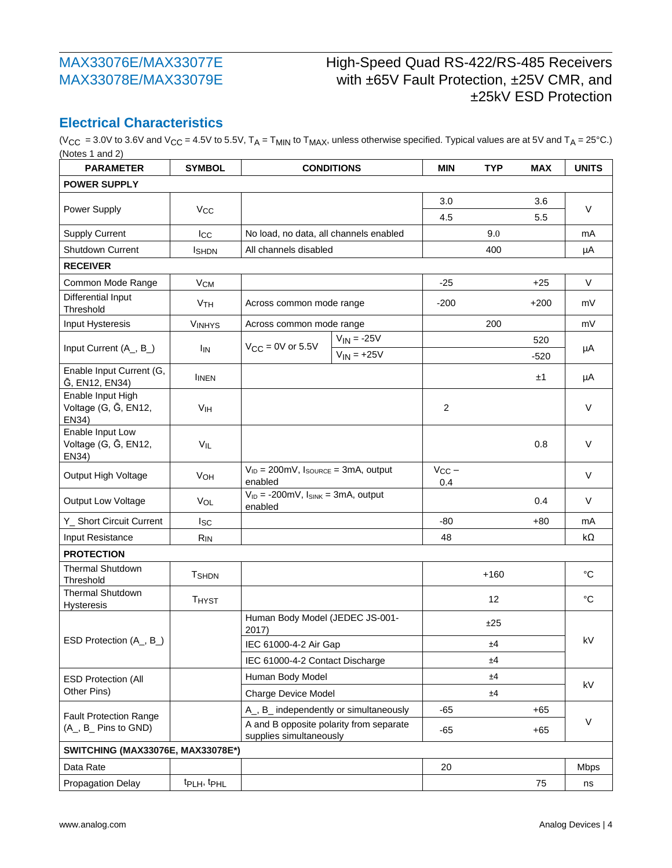# High-Speed Quad RS-422/RS-485 Receivers with ±65V Fault Protection, ±25V CMR, and ±25kV ESD Protection

### **Electrical Characteristics**

(V<sub>CC</sub> = 3.0V to 3.6V and V<sub>CC</sub> = 4.5V to 5.5V, T<sub>A</sub> = T<sub>MIN</sub> to T<sub>MAX</sub>, unless otherwise specified. Typical values are at 5V and T<sub>A</sub> = 25°C.) (Notes 1 and 2)

| <b>PARAMETER</b>                                   | <b>SYMBOL</b>                       |                                                                           | <b>CONDITIONS</b> | <b>MIN</b>        | <b>TYP</b> | <b>MAX</b> | <b>UNITS</b> |  |
|----------------------------------------------------|-------------------------------------|---------------------------------------------------------------------------|-------------------|-------------------|------------|------------|--------------|--|
| <b>POWER SUPPLY</b>                                |                                     |                                                                           |                   |                   |            |            |              |  |
|                                                    |                                     |                                                                           |                   | 3.0               |            | 3.6        |              |  |
| Power Supply                                       | <b>V<sub>CC</sub></b>               |                                                                           |                   | 4.5               |            | 5.5        | V            |  |
| <b>Supply Current</b>                              | Icc                                 | No load, no data, all channels enabled                                    |                   |                   | 9.0        |            | mA           |  |
| <b>Shutdown Current</b>                            | <b>I</b> SHDN                       | All channels disabled                                                     |                   |                   | 400        |            | μA           |  |
| <b>RECEIVER</b>                                    |                                     |                                                                           |                   |                   |            |            |              |  |
| Common Mode Range                                  | <b>V<sub>CM</sub></b>               |                                                                           |                   | $-25$             |            | $+25$      | V            |  |
| Differential Input<br>Threshold                    | <b>V<sub>TH</sub></b>               | Across common mode range                                                  |                   | $-200$            |            | $+200$     | mV           |  |
| Input Hysteresis                                   | <b>VINHYS</b>                       | Across common mode range                                                  |                   |                   | 200        |            | mV           |  |
|                                                    |                                     | $V_{CC}$ = 0V or 5.5V                                                     | $V_{IN} = -25V$   |                   |            | 520        |              |  |
| Input Current (A_, B_)                             | lın                                 |                                                                           | $V_{IN} = +25V$   |                   |            | $-520$     | μA           |  |
| Enable Input Current (G,<br>G, EN12, EN34)         | <b>IINEN</b>                        |                                                                           |                   |                   |            | ±1         | μA           |  |
| Enable Input High<br>Voltage (G, G, EN12,<br>EN34) | V <sub>IH</sub>                     |                                                                           |                   | 2                 |            |            | $\vee$       |  |
| Enable Input Low<br>Voltage (G, G, EN12,<br>EN34)  | VIL                                 |                                                                           |                   |                   |            | 0.8        | V            |  |
| Output High Voltage                                | <b>VOH</b>                          | $V_{ID} = 200 \text{mV}$ , $I_{SOLRCE} = 3 \text{mA}$ , output<br>enabled |                   | $V_{CC}$ –<br>0.4 |            |            | $\vee$       |  |
| Output Low Voltage                                 | VOL                                 | $V_{ID} = -200$ mV, $I_{SINK} = 3mA$ , output<br>enabled                  |                   |                   |            | 0.4        | $\vee$       |  |
| Y_ Short Circuit Current                           | lsc                                 |                                                                           |                   | -80               |            | $+80$      | mA           |  |
| Input Resistance                                   | <b>R<sub>IN</sub></b>               |                                                                           |                   | 48                |            |            | kΩ           |  |
| <b>PROTECTION</b>                                  |                                     |                                                                           |                   |                   |            |            |              |  |
| <b>Thermal Shutdown</b><br>Threshold               | <b>T</b> SHDN                       |                                                                           |                   |                   | $+160$     |            | $^{\circ}C$  |  |
| <b>Thermal Shutdown</b><br><b>Hysteresis</b>       | <b>THYST</b>                        |                                                                           |                   |                   | 12         |            | $^{\circ}C$  |  |
|                                                    |                                     | Human Body Model (JEDEC JS-001-<br>2017)                                  |                   |                   | ±25        |            |              |  |
| ESD Protection (A_, B_)                            |                                     | IEC 61000-4-2 Air Gap                                                     |                   |                   | ±4         |            | kV           |  |
|                                                    |                                     | IEC 61000-4-2 Contact Discharge                                           |                   |                   | ±4         |            |              |  |
| <b>ESD Protection (All</b>                         |                                     | Human Body Model                                                          |                   |                   | ±4         |            |              |  |
| Other Pins)                                        |                                     | Charge Device Model                                                       |                   |                   | ±4         |            | kV           |  |
| <b>Fault Protection Range</b>                      |                                     | A_, B_ independently or simultaneously                                    |                   | $-65$             |            | $+65$      | V            |  |
| (A_, B_ Pins to GND)                               |                                     | A and B opposite polarity from separate<br>supplies simultaneously        |                   | $-65$             |            | $+65$      |              |  |
| SWITCHING (MAX33076E, MAX33078E*)                  |                                     |                                                                           |                   |                   |            |            |              |  |
| Data Rate                                          |                                     |                                                                           |                   | 20                |            |            | <b>Mbps</b>  |  |
| <b>Propagation Delay</b>                           | t <sub>PLH</sub> , t <sub>PHL</sub> |                                                                           |                   |                   |            | 75         | ns           |  |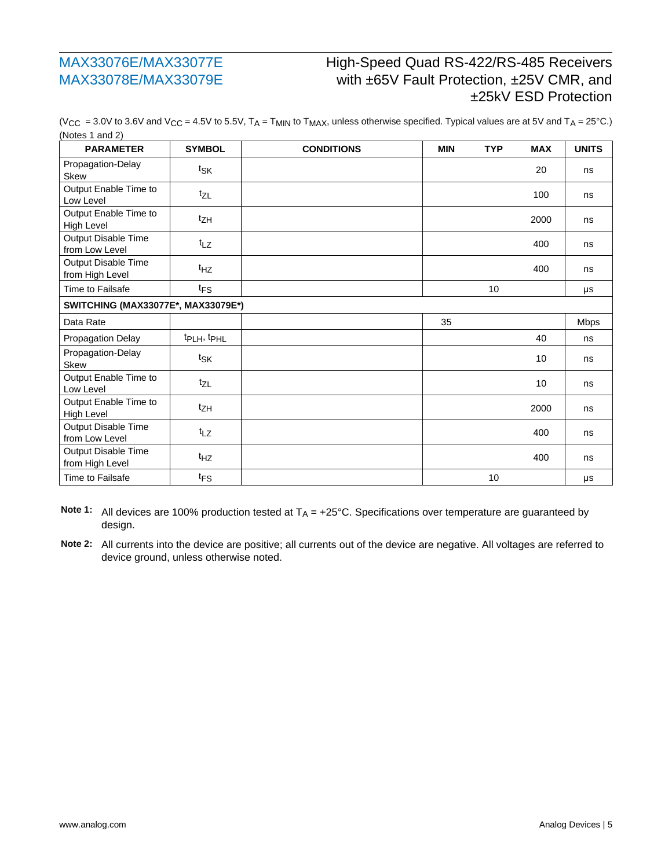# High-Speed Quad RS-422/RS-485 Receivers with ±65V Fault Protection, ±25V CMR, and ±25kV ESD Protection

| <b>PARAMETER</b>                           | <b>SYMBOL</b>                      | <b>CONDITIONS</b> | <b>MIN</b> | <b>TYP</b> | <b>MAX</b> | <b>UNITS</b> |
|--------------------------------------------|------------------------------------|-------------------|------------|------------|------------|--------------|
| Propagation-Delay<br><b>Skew</b>           | tsk                                |                   |            |            | 20         | ns           |
| Output Enable Time to<br>Low Level         | $t_{ZL}$                           |                   |            |            | 100        | ns           |
| Output Enable Time to<br><b>High Level</b> | tzH                                |                   |            |            | 2000       | ns           |
| Output Disable Time<br>from Low Level      | $t_{LZ}$                           |                   |            |            | 400        | ns           |
| Output Disable Time<br>from High Level     | t <sub>HZ</sub>                    |                   |            |            | 400        | ns           |
| Time to Failsafe                           | $t_{FS}$                           |                   |            | 10         |            | μs           |
|                                            | SWITCHING (MAX33077E*, MAX33079E*) |                   |            |            |            |              |
| Data Rate                                  |                                    |                   | 35         |            |            | <b>Mbps</b>  |
| Propagation Delay                          | tpLH, tpHL                         |                   |            |            | 40         | ns           |
| Propagation-Delay<br><b>Skew</b>           | tsk                                |                   |            |            | 10         | ns           |
| Output Enable Time to<br>Low Level         | $t_{ZL}$                           |                   |            |            | 10         | ns           |
| Output Enable Time to<br><b>High Level</b> | tzH                                |                   |            |            | 2000       | ns           |
| Output Disable Time<br>from Low Level      | $t_{LZ}$                           |                   |            |            | 400        | ns           |
| Output Disable Time<br>from High Level     | t <sub>HZ</sub>                    |                   |            |            | 400        | ns           |
| Time to Failsafe                           | $t_{FS}$                           |                   |            | 10         |            | μs           |

(V<sub>CC</sub> = 3.0V to 3.6V and V<sub>CC</sub> = 4.5V to 5.5V, T<sub>A</sub> = T<sub>MIN</sub> to T<sub>MAX</sub>, unless otherwise specified. Typical values are at 5V and T<sub>A</sub> = 25°C.) (Notes 1 and 2)

Note 1: All devices are 100% production tested at T<sub>A</sub> = +25°C. Specifications over temperature are guaranteed by design.

**Note 2:** All currents into the device are positive; all currents out of the device are negative. All voltages are referred to device ground, unless otherwise noted.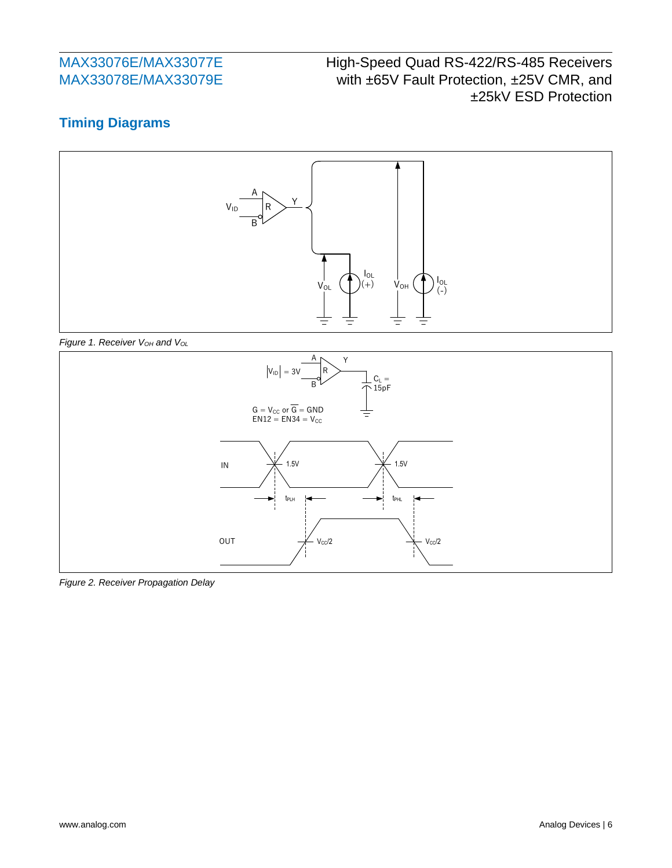# High-Speed Quad RS-422/RS-485 Receivers with ±65V Fault Protection, ±25V CMR, and ±25kV ESD Protection

## **Timing Diagrams**







*Figure 2. Receiver Propagation Delay*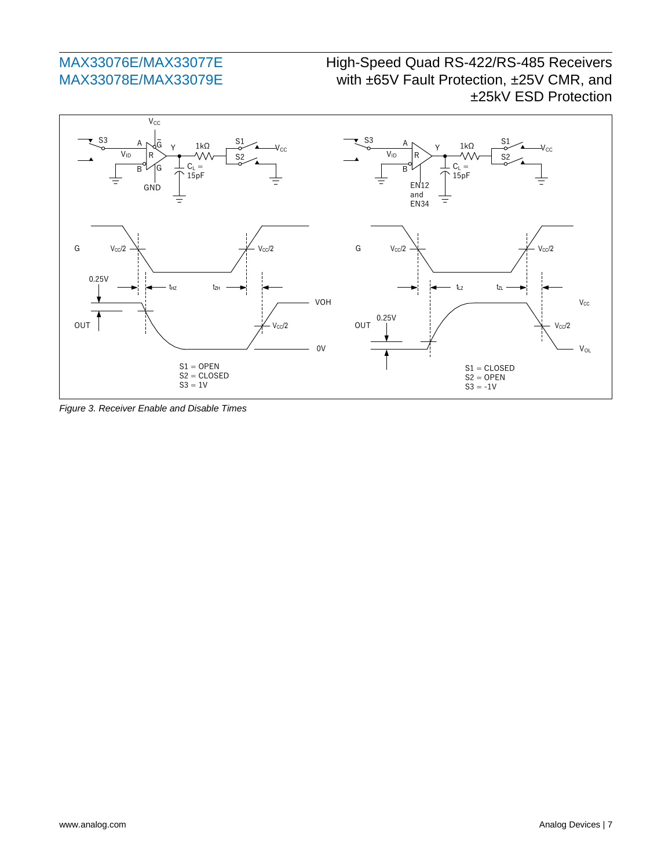## High-Speed Quad RS-422/RS-485 Receivers with ±65V Fault Protection, ±25V CMR, and ±25kV ESD Protection



*Figure 3. Receiver Enable and Disable Times*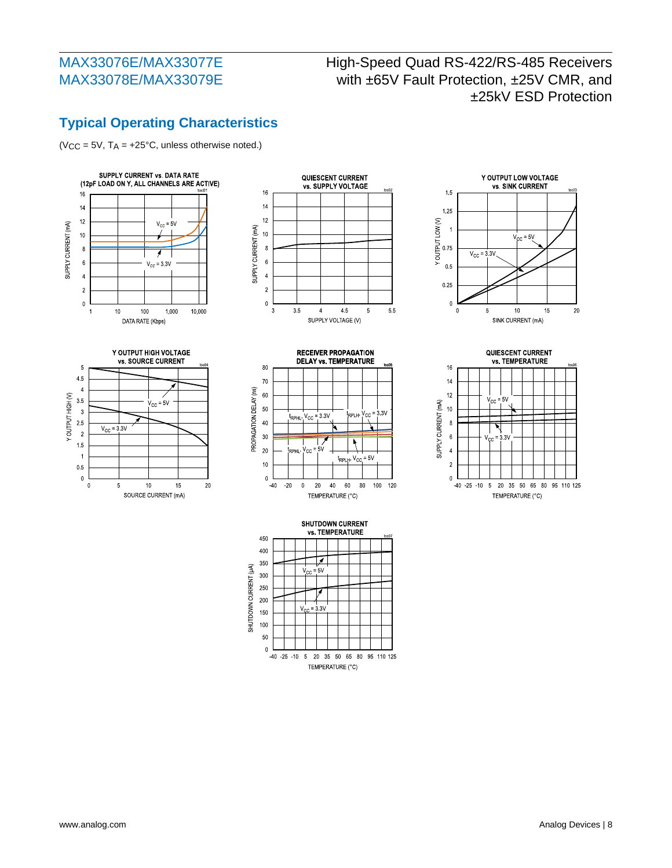## High-Speed Quad RS-422/RS-485 Receivers with ±65V Fault Protection, ±25V CMR, and ±25kV ESD Protection

# **Typical Operating Characteristics**

(VCC =  $5V$ , TA =  $+25^{\circ}$ C, unless otherwise noted.)













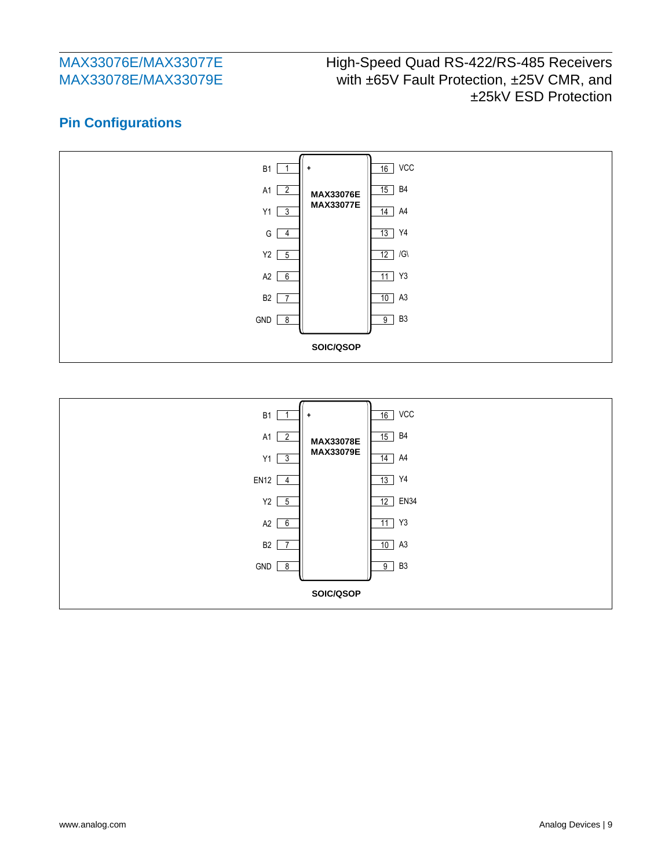# High-Speed Quad RS-422/RS-485 Receivers with ±65V Fault Protection, ±25V CMR, and ±25kV ESD Protection

## **Pin Configurations**



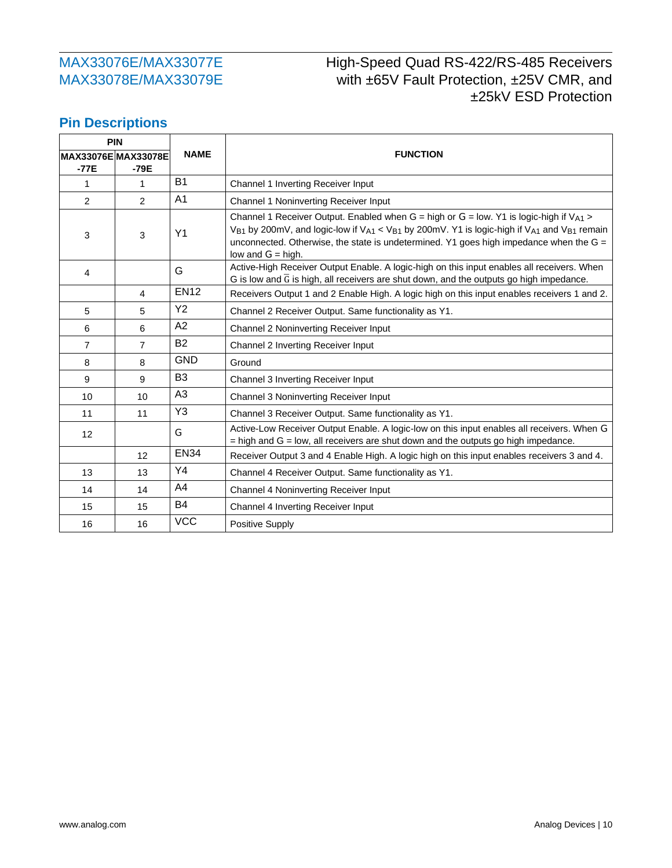# High-Speed Quad RS-422/RS-485 Receivers with ±65V Fault Protection, ±25V CMR, and ±25kV ESD Protection

### **Pin Descriptions**

| <b>PIN</b>          |                |                |                                                                                                                                                                                                                                                                                                                                      |  |  |  |  |
|---------------------|----------------|----------------|--------------------------------------------------------------------------------------------------------------------------------------------------------------------------------------------------------------------------------------------------------------------------------------------------------------------------------------|--|--|--|--|
| MAX33076E MAX33078E |                | <b>NAME</b>    | <b>FUNCTION</b>                                                                                                                                                                                                                                                                                                                      |  |  |  |  |
| $-77E$              | -79E           |                |                                                                                                                                                                                                                                                                                                                                      |  |  |  |  |
| 1                   | 1              | <b>B1</b>      | Channel 1 Inverting Receiver Input                                                                                                                                                                                                                                                                                                   |  |  |  |  |
| $\overline{2}$      | 2              | A <sub>1</sub> | Channel 1 Noninverting Receiver Input                                                                                                                                                                                                                                                                                                |  |  |  |  |
| 3                   | 3              | Y <sub>1</sub> | Channel 1 Receiver Output. Enabled when G = high or G = low. Y1 is logic-high if $V_{A1}$ ><br>$V_{B1}$ by 200mV, and logic-low if $V_{A1}$ < $V_{B1}$ by 200mV. Y1 is logic-high if $V_{A1}$ and $V_{B1}$ remain<br>unconnected. Otherwise, the state is undetermined. Y1 goes high impedance when the $G =$<br>low and $G =$ high. |  |  |  |  |
| 4                   |                | G              | Active-High Receiver Output Enable. A logic-high on this input enables all receivers. When<br>G is low and $\overline{G}$ is high, all receivers are shut down, and the outputs go high impedance.                                                                                                                                   |  |  |  |  |
|                     | $\overline{4}$ | <b>EN12</b>    | Receivers Output 1 and 2 Enable High. A logic high on this input enables receivers 1 and 2.                                                                                                                                                                                                                                          |  |  |  |  |
| 5                   | 5              | <b>Y2</b>      | Channel 2 Receiver Output. Same functionality as Y1.                                                                                                                                                                                                                                                                                 |  |  |  |  |
| 6                   | 6              | A2             | Channel 2 Noninverting Receiver Input                                                                                                                                                                                                                                                                                                |  |  |  |  |
| $\overline{7}$      | $\overline{7}$ | <b>B2</b>      | Channel 2 Inverting Receiver Input                                                                                                                                                                                                                                                                                                   |  |  |  |  |
| 8                   | 8              | <b>GND</b>     | Ground                                                                                                                                                                                                                                                                                                                               |  |  |  |  |
| 9                   | 9              | B <sub>3</sub> | Channel 3 Inverting Receiver Input                                                                                                                                                                                                                                                                                                   |  |  |  |  |
| 10                  | 10             | A <sub>3</sub> | Channel 3 Noninverting Receiver Input                                                                                                                                                                                                                                                                                                |  |  |  |  |
| 11                  | 11             | Y3             | Channel 3 Receiver Output. Same functionality as Y1.                                                                                                                                                                                                                                                                                 |  |  |  |  |
| 12                  |                | G              | Active-Low Receiver Output Enable. A logic-low on this input enables all receivers. When G<br>$=$ high and $G =$ low, all receivers are shut down and the outputs go high impedance.                                                                                                                                                 |  |  |  |  |
|                     | 12             | <b>EN34</b>    | Receiver Output 3 and 4 Enable High. A logic high on this input enables receivers 3 and 4.                                                                                                                                                                                                                                           |  |  |  |  |
| 13                  | 13             | Y4             | Channel 4 Receiver Output. Same functionality as Y1.                                                                                                                                                                                                                                                                                 |  |  |  |  |
| 14                  | 14             | A4             | Channel 4 Noninverting Receiver Input                                                                                                                                                                                                                                                                                                |  |  |  |  |
| 15                  | 15             | <b>B4</b>      | Channel 4 Inverting Receiver Input                                                                                                                                                                                                                                                                                                   |  |  |  |  |
| 16                  | 16             | <b>VCC</b>     | Positive Supply                                                                                                                                                                                                                                                                                                                      |  |  |  |  |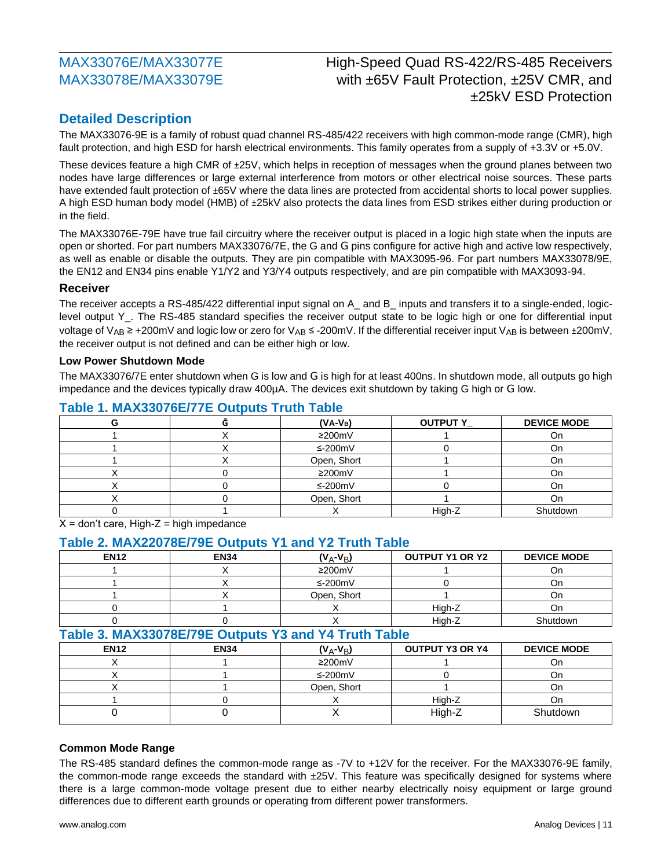## High-Speed Quad RS-422/RS-485 Receivers with ±65V Fault Protection, ±25V CMR, and ±25kV ESD Protection

### **Detailed Description**

The MAX33076-9E is a family of robust quad channel RS-485/422 receivers with high common-mode range (CMR), high fault protection, and high ESD for harsh electrical environments. This family operates from a supply of +3.3V or +5.0V.

These devices feature a high CMR of ±25V, which helps in reception of messages when the ground planes between two nodes have large differences or large external interference from motors or other electrical noise sources. These parts have extended fault protection of ±65V where the data lines are protected from accidental shorts to local power supplies. A high ESD human body model (HMB) of ±25kV also protects the data lines from ESD strikes either during production or in the field.

The MAX33076E-79E have true fail circuitry where the receiver output is placed in a logic high state when the inputs are open or shorted. For part numbers MAX33076/7E, the G and G pins configure for active high and active low respectively, as well as enable or disable the outputs. They are pin compatible with MAX3095-96. For part numbers MAX33078/9E, the EN12 and EN34 pins enable Y1/Y2 and Y3/Y4 outputs respectively, and are pin compatible with MAX3093-94.

#### **Receiver**

The receiver accepts a RS-485/422 differential input signal on A\_ and B\_ inputs and transfers it to a single-ended, logiclevel output Y\_. The RS-485 standard specifies the receiver output state to be logic high or one for differential input voltage of V<sub>AB</sub> ≥ +200mV and logic low or zero for V<sub>AB</sub> ≤ -200mV. If the differential receiver input V<sub>AB</sub> is between ±200mV, the receiver output is not defined and can be either high or low.

#### **Low Power Shutdown Mode**

The MAX33076/7E enter shutdown when G is low and G is high for at least 400ns. In shutdown mode, all outputs go high impedance and the devices typically draw 400µA. The devices exit shutdown by taking G high or G low.

|  |  | $(V_A-V_B)$  | <b>OUTPUT Y_</b> | <b>DEVICE MODE</b> |  |  |
|--|--|--------------|------------------|--------------------|--|--|
|  |  | $\geq$ 200mV |                  | On.                |  |  |
|  |  | ≤-200m $V$   |                  | On                 |  |  |
|  |  | Open, Short  |                  | On                 |  |  |
|  |  | $\geq$ 200mV |                  | On                 |  |  |
|  |  | ≤-200mV      |                  | J۲                 |  |  |
|  |  | Open, Short  |                  | Оn                 |  |  |
|  |  |              | High-Z           | Shutdown           |  |  |

#### **Table 1. MAX33076E/77E Outputs Truth Table**

 $X =$  don't care, High-Z = high impedance

#### **Table 2. MAX22078E/79E Outputs Y1 and Y2 Truth Table**

| <b>EN12</b> | <b>EN34</b>                                          | $(V_A-V_B)$  | <b>OUTPUT Y1 OR Y2</b> | <b>DEVICE MODE</b> |  |  |
|-------------|------------------------------------------------------|--------------|------------------------|--------------------|--|--|
|             | x                                                    | $\geq$ 200mV |                        | On                 |  |  |
|             |                                                      | $≤-200mV$    |                        | On                 |  |  |
|             |                                                      | Open, Short  |                        | On                 |  |  |
|             |                                                      |              | High-Z                 | On                 |  |  |
|             |                                                      |              | High-Z                 | Shutdown           |  |  |
|             | Table 3. MAX33078E/79E Outputs Y3 and Y4 Truth Table |              |                        |                    |  |  |
| <b>EN12</b> | <b>EN34</b>                                          | $(V_A-V_B)$  | <b>OUTPUT Y3 OR Y4</b> | <b>DEVICE MODE</b> |  |  |
|             |                                                      | $\geq$ 200mV |                        | On                 |  |  |
|             |                                                      | $≤-200mV$    |                        | <b>On</b>          |  |  |
|             |                                                      | Open, Short  |                        | On                 |  |  |
|             |                                                      |              | High-Z                 | On.                |  |  |
|             |                                                      |              | High-Z                 | Shutdown           |  |  |

#### **Common Mode Range**

The RS-485 standard defines the common-mode range as -7V to +12V for the receiver. For the MAX33076-9E family, the common-mode range exceeds the standard with ±25V. This feature was specifically designed for systems where there is a large common-mode voltage present due to either nearby electrically noisy equipment or large ground differences due to different earth grounds or operating from different power transformers.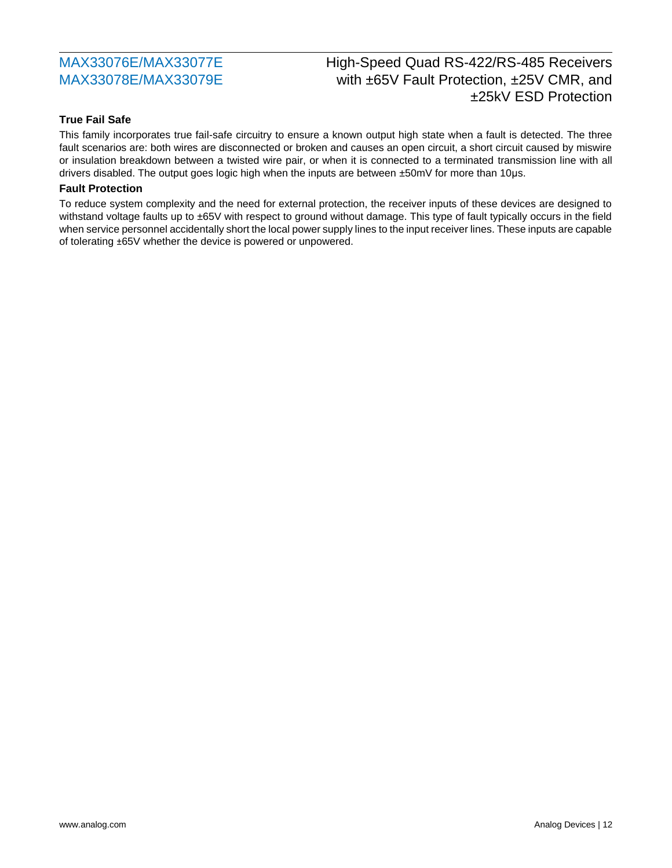# High-Speed Quad RS-422/RS-485 Receivers with ±65V Fault Protection, ±25V CMR, and ±25kV ESD Protection

#### **True Fail Safe**

This family incorporates true fail-safe circuitry to ensure a known output high state when a fault is detected. The three fault scenarios are: both wires are disconnected or broken and causes an open circuit, a short circuit caused by miswire or insulation breakdown between a twisted wire pair, or when it is connected to a terminated transmission line with all drivers disabled. The output goes logic high when the inputs are between  $\pm$ 50mV for more than 10 $\mu$ s.

#### **Fault Protection**

To reduce system complexity and the need for external protection, the receiver inputs of these devices are designed to withstand voltage faults up to ±65V with respect to ground without damage. This type of fault typically occurs in the field when service personnel accidentally short the local power supply lines to the input receiver lines. These inputs are capable of tolerating ±65V whether the device is powered or unpowered.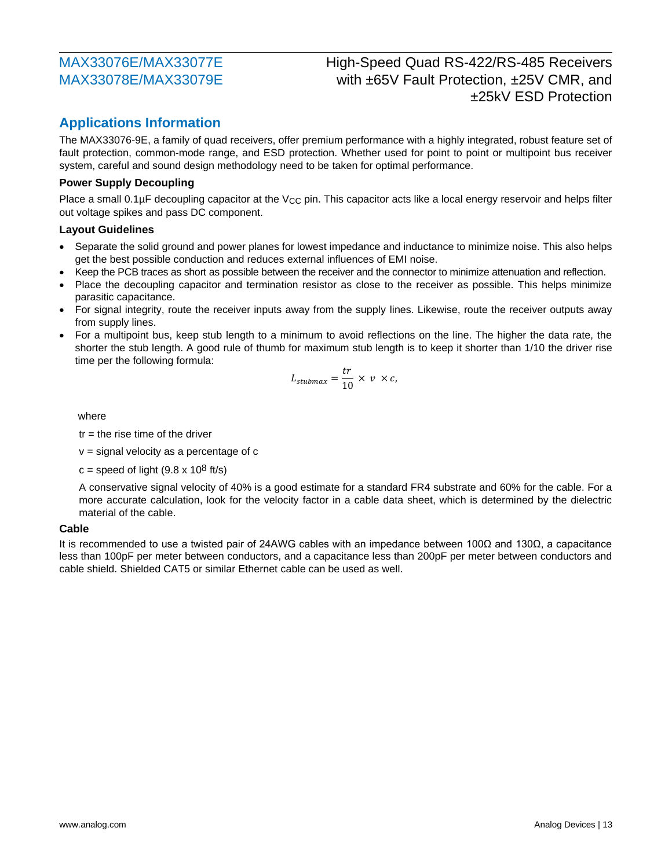## High-Speed Quad RS-422/RS-485 Receivers with ±65V Fault Protection, ±25V CMR, and ±25kV ESD Protection

#### **Applications Information**

The MAX33076-9E, a family of quad receivers, offer premium performance with a highly integrated, robust feature set of fault protection, common-mode range, and ESD protection. Whether used for point to point or multipoint bus receiver system, careful and sound design methodology need to be taken for optimal performance.

#### **Power Supply Decoupling**

Place a small  $0.1\mu$ F decoupling capacitor at the V<sub>CC</sub> pin. This capacitor acts like a local energy reservoir and helps filter out voltage spikes and pass DC component.

#### **Layout Guidelines**

- Separate the solid ground and power planes for lowest impedance and inductance to minimize noise. This also helps get the best possible conduction and reduces external influences of EMI noise.
- Keep the PCB traces as short as possible between the receiver and the connector to minimize attenuation and reflection.
- Place the decoupling capacitor and termination resistor as close to the receiver as possible. This helps minimize parasitic capacitance.
- For signal integrity, route the receiver inputs away from the supply lines. Likewise, route the receiver outputs away from supply lines.
- For a multipoint bus, keep stub length to a minimum to avoid reflections on the line. The higher the data rate, the shorter the stub length. A good rule of thumb for maximum stub length is to keep it shorter than 1/10 the driver rise time per the following formula:

$$
L_{stubmax} = \frac{tr}{10} \times \nu \times c,
$$

where

 $tr =$  the rise time of the driver

 $v =$  signal velocity as a percentage of  $c$ 

 $c =$  speed of light (9.8 x 10<sup>8</sup> ft/s)

A conservative signal velocity of 40% is a good estimate for a standard FR4 substrate and 60% for the cable. For a more accurate calculation, look for the velocity factor in a cable data sheet, which is determined by the dielectric material of the cable.

#### **Cable**

It is recommended to use a twisted pair of 24AWG cables with an impedance between 100Ω and 130Ω, a capacitance less than 100pF per meter between conductors, and a capacitance less than 200pF per meter between conductors and cable shield. Shielded CAT5 or similar Ethernet cable can be used as well.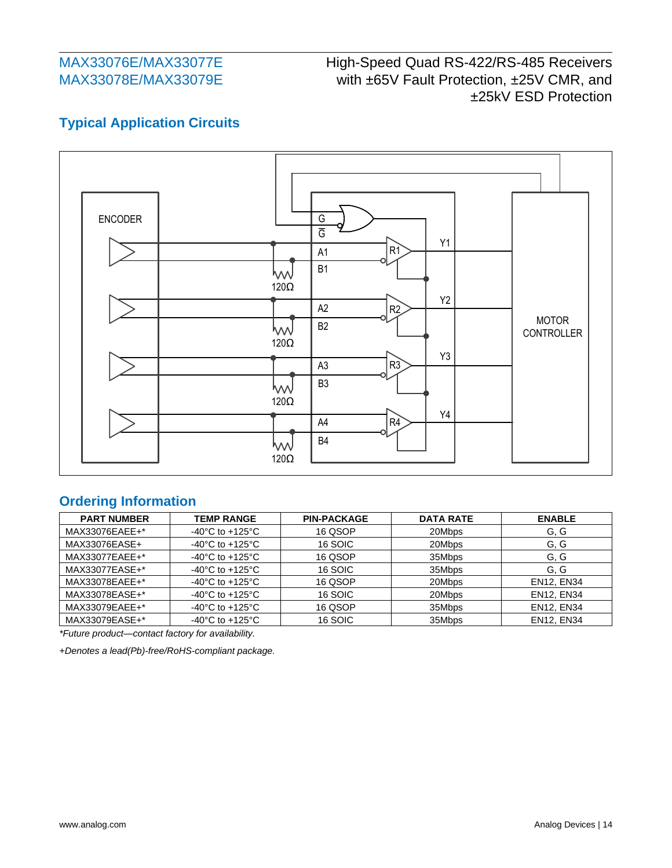# High-Speed Quad RS-422/RS-485 Receivers with ±65V Fault Protection, ±25V CMR, and ±25kV ESD Protection

## **Typical Application Circuits**



### **Ordering Information**

| <b>PART NUMBER</b> | <b>TEMP RANGE</b>                     | <b>PIN-PACKAGE</b> | <b>DATA RATE</b> | <b>ENABLE</b>     |
|--------------------|---------------------------------------|--------------------|------------------|-------------------|
| MAX33076EAEE+*     | -40 $^{\circ}$ C to +125 $^{\circ}$ C | 16 QSOP            | 20Mbps           | G, G              |
| MAX33076EASE+      | -40 $^{\circ}$ C to +125 $^{\circ}$ C | 16 SOIC            | 20Mbps           | G, G              |
| MAX33077EAEE+*     | -40 $^{\circ}$ C to +125 $^{\circ}$ C | 16 QSOP            | 35Mbps           | G, G              |
| MAX33077EASE+*     | -40 $^{\circ}$ C to +125 $^{\circ}$ C | 16 SOIC            | 35Mbps           | G, G              |
| MAX33078EAEE+*     | -40 $^{\circ}$ C to +125 $^{\circ}$ C | 16 QSOP            | 20Mbps           | <b>EN12, EN34</b> |
| MAX33078EASE+*     | -40 $^{\circ}$ C to +125 $^{\circ}$ C | 16 SOIC            | 20Mbps           | <b>EN12, EN34</b> |
| MAX33079EAEE+*     | -40 $^{\circ}$ C to +125 $^{\circ}$ C | 16 QSOP            | 35Mbps           | <b>EN12, EN34</b> |
| MAX33079EASE+*     | -40 $^{\circ}$ C to +125 $^{\circ}$ C | 16 SOIC            | 35Mbps           | <b>EN12, EN34</b> |

*\*Future product—contact factory for availability.*

*+Denotes a lead(Pb)-free/RoHS-compliant package.*